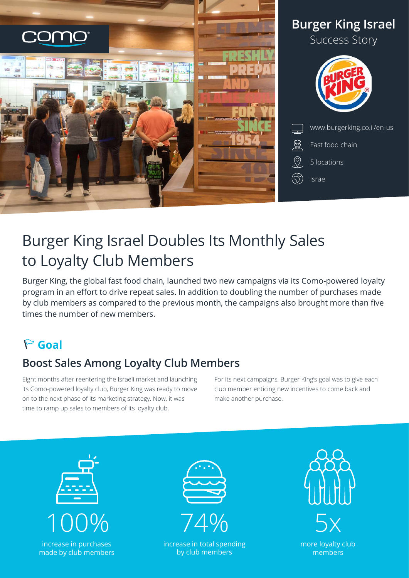

# Burger King Israel Doubles Its Monthly Sales to Loyalty Club Members

Burger King, the global fast food chain, launched two new campaigns via its Como-powered loyalty program in an effort to drive repeat sales. In addition to doubling the number of purchases made by club members as compared to the previous month, the campaigns also brought more than five times the number of new members.

## **Goal**

### **Boost Sales Among Loyalty Club Members**

Eight months after reentering the Israeli market and launching its Como-powered loyalty club, Burger King was ready to move on to the next phase of its marketing strategy. Now, it was time to ramp up sales to members of its loyalty club.

For its next campaigns, Burger King's goal was to give each club member enticing new incentives to come back and make another purchase.





increase in total spending by club members



more loyalty club members